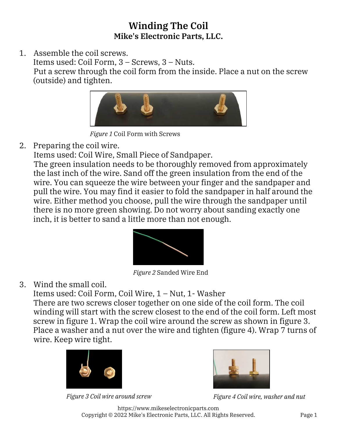## Winding The Coil Mike's Electronic Parts, LLC.

1. Assemble the coil screws. Items used: Coil Form, 3 – Screws, 3 – Nuts. Put a screw through the coil form from the inside. Place a nut on the screw (outside) and tighten.



*Figure 1* Coil Form with Screws

2. Preparing the coil wire.

Items used: Coil Wire, Small Piece of Sandpaper.

The green insulation needs to be thoroughly removed from approximately the last inch of the wire. Sand off the green insulation from the end of the wire. You can squeeze the wire between your finger and the sandpaper and pull the wire. You may find it easier to fold the sandpaper in half around the wire. Either method you choose, pull the wire through the sandpaper until there is no more green showing. Do not worry about sanding exactly one inch, it is better to sand a little more than not enough.



*Figure 2* Sanded Wire End

3. Wind the small coil.

Items used: Coil Form, Coil Wire, 1 – Nut, 1- Washer

There are two screws closer together on one side of the coil form. The coil winding will start with the screw closest to the end of the coil form. Left most screw in figure 1. Wrap the coil wire around the screw as shown in figure 3. Place a washer and a nut over the wire and tighten (figure 4). Wrap 7 turns of wire. Keep wire tight.





*Figure 3 Coil wire around screw Figure 4 Coil wire, washer and nut*

https://www.mikeselectronicparts.com Copyright © 2022 Mike's Electronic Parts, LLC. All Rights Reserved. Page 1